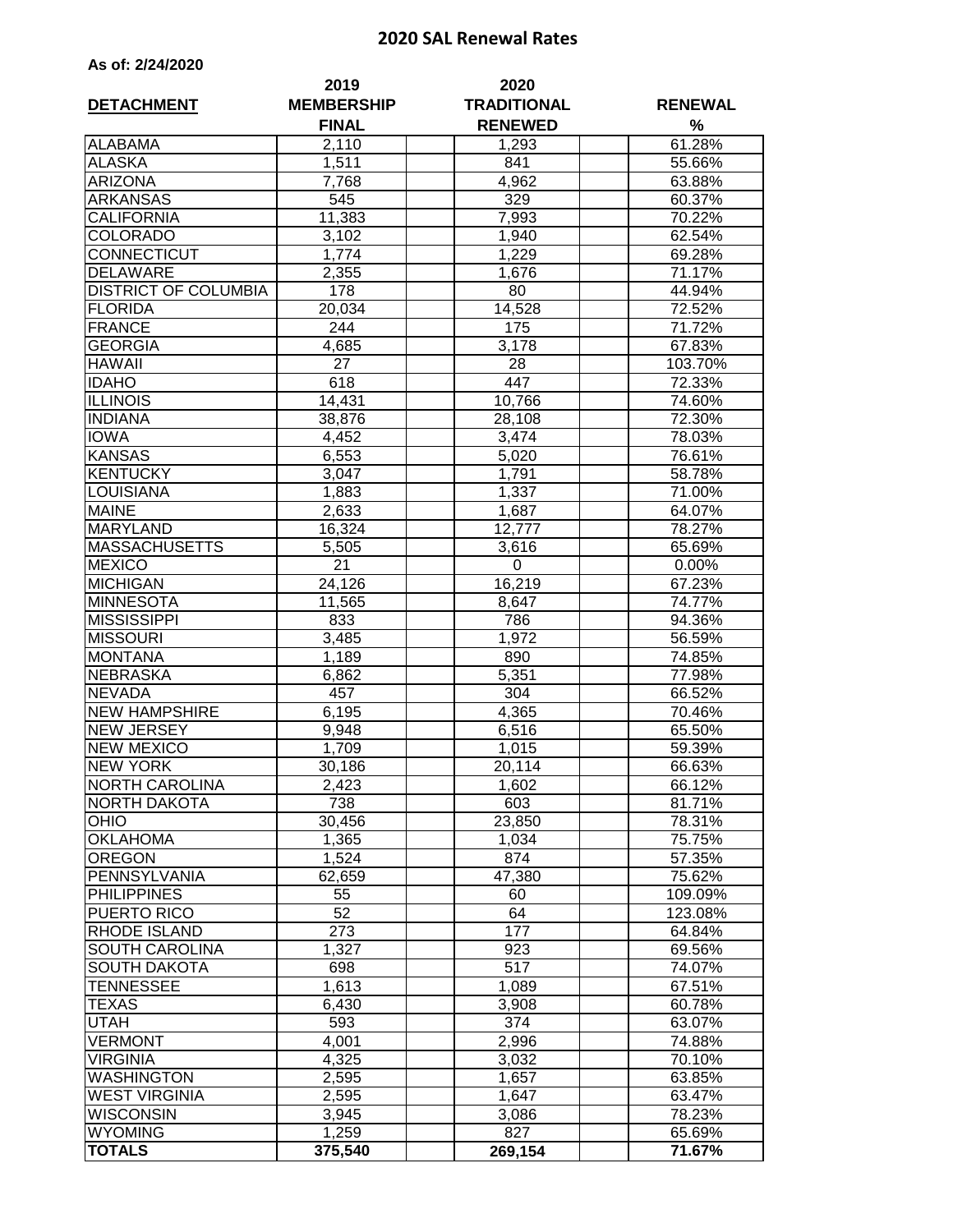## **2020 SAL Renewal Rates**

| As of: 2/24/2020 |  |  |  |  |  |
|------------------|--|--|--|--|--|
|------------------|--|--|--|--|--|

| <b>DETACHMENT</b>           | 2019<br><b>MEMBERSHIP</b> | 2020<br><b>TRADITIONAL</b> | <b>RENEWAL</b>   |
|-----------------------------|---------------------------|----------------------------|------------------|
|                             | <b>FINAL</b>              | <b>RENEWED</b>             | %                |
| <b>ALABAMA</b>              | 2,110                     | 1,293                      | 61.28%           |
| <b>ALASKA</b>               | 1,511                     | 841                        | 55.66%           |
| <b>ARIZONA</b>              | 7,768                     | 4,962                      | 63.88%           |
| <b>ARKANSAS</b>             | 545                       | 329                        | 60.37%           |
| <b>CALIFORNIA</b>           | 11,383                    | 7,993                      | 70.22%           |
| <b>COLORADO</b>             | 3,102                     | 1,940                      | 62.54%           |
| CONNECTICUT                 | 1,774                     | 1,229                      | 69.28%           |
| <b>DELAWARE</b>             | 2,355                     | 1,676                      | 71.17%           |
| <b>DISTRICT OF COLUMBIA</b> | 178                       | 80                         | 44.94%           |
| <b>FLORIDA</b>              | 20,034                    | 14,528                     | 72.52%           |
| <b>FRANCE</b>               | 244                       | 175                        | 71.72%           |
| <b>GEORGIA</b>              | 4,685                     | 3,178                      | 67.83%           |
| <b>HAWAII</b>               | 27                        | 28                         | 103.70%          |
| <b>IDAHO</b>                | 618                       | 447                        | 72.33%           |
| <b>ILLINOIS</b>             | 14,431                    | 10,766                     | 74.60%           |
| <b>INDIANA</b>              | 38,876                    | 28,108                     | 72.30%           |
| <b>IOWA</b>                 | 4,452                     | 3,474                      | 78.03%           |
| <b>KANSAS</b>               | 6,553                     | 5,020                      | 76.61%           |
| <b>KENTUCKY</b>             | 3,047                     | 1,791                      | 58.78%           |
| <b>LOUISIANA</b>            | 1,883                     | 1,337                      | 71.00%           |
| <b>MAINE</b>                | 2,633                     | 1,687                      | 64.07%           |
| <b>MARYLAND</b>             | 16,324                    | 12,777                     | 78.27%           |
| <b>MASSACHUSETTS</b>        | 5,505                     | 3,616                      | 65.69%           |
| <b>MEXICO</b>               | 21                        | 0                          | 0.00%            |
| <b>MICHIGAN</b>             | 24,126                    | 16,219                     | 67.23%           |
| <b>MINNESOTA</b>            | 11,565                    | 8,647                      | 74.77%           |
| <b>MISSISSIPPI</b>          | 833                       | 786                        | 94.36%           |
| <b>MISSOURI</b>             | 3,485                     | 1,972                      | 56.59%           |
| <b>MONTANA</b>              | 1,189                     | 890                        | 74.85%           |
| <b>NEBRASKA</b>             | 6,862                     | 5,351                      | 77.98%           |
| <b>NEVADA</b>               | 457                       | $\overline{3}04$           | 66.52%           |
| <b>NEW HAMPSHIRE</b>        | 6,195                     | 4,365                      | 70.46%           |
| <b>NEW JERSEY</b>           | 9,948                     | 6,516                      | 65.50%           |
| <b>NEW MEXICO</b>           | 1,709                     | 1,015                      | 59.39%           |
| <b>NEW YORK</b>             | 30,186                    | 20,114                     | 66.63%           |
| <b>NORTH CAROLINA</b>       | 2,423                     | 1,602                      | 66.12%           |
| NORTH DAKOTA                | 738                       | 603                        | 81.71%           |
| <b>OHIO</b>                 | 30,456                    | 23,850                     | 78.31%           |
| <b>OKLAHOMA</b>             | 1,365                     | 1,034                      | 75.75%           |
| <b>OREGON</b>               | 1,524                     | 874                        | 57.35%           |
| PENNSYLVANIA                | 62,659                    | 47,380                     | 75.62%           |
| <b>PHILIPPINES</b>          | 55                        | 60                         | 109.09%          |
| PUERTO RICO                 | 52                        | 64                         | 123.08%          |
| <b>RHODE ISLAND</b>         | 273                       | 177                        | 64.84%           |
| SOUTH CAROLINA              | 1,327                     | 923                        | 69.56%           |
| <b>SOUTH DAKOTA</b>         | 698                       | 517                        | 74.07%           |
| TENNESSEE                   | 1,613                     | 1,089                      | 67.51%           |
| TEXAS                       | 6,430                     | 3,908                      | 60.78%           |
| UTAH<br><b>VERMONT</b>      | 593<br>4,001              | 374                        | 63.07%           |
| <b>VIRGINIA</b>             |                           | 2,996                      | 74.88%<br>70.10% |
| <b>WASHINGTON</b>           | 4,325                     | 3,032                      |                  |
| <b>WEST VIRGINIA</b>        | 2,595<br>2,595            | 1,657<br>1,647             | 63.85%<br>63.47% |
| <b>WISCONSIN</b>            | 3,945                     | 3,086                      | 78.23%           |
| <b>WYOMING</b>              | 1,259                     | 827                        | 65.69%           |
| <b>TOTALS</b>               | 375,540                   | 269,154                    | 71.67%           |
|                             |                           |                            |                  |